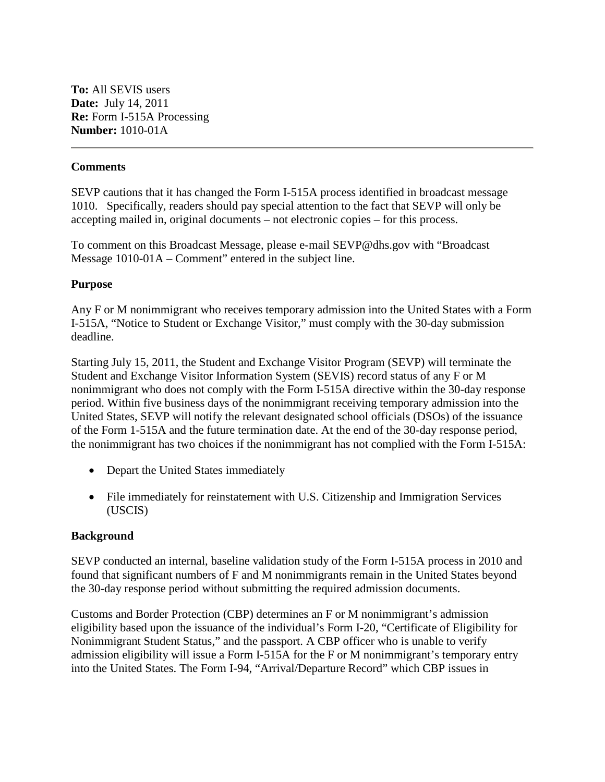**To:** All SEVIS users **Date:** July 14, 2011 **Re:** Form I-515A Processing **Number:** 1010-01A

## **Comments**

SEVP cautions that it has changed the Form I-515A process identified in broadcast message 1010. Specifically, readers should pay special attention to the fact that SEVP will only be accepting mailed in, original documents – not electronic copies – for this process.

To comment on this Broadcast Message, please e-mail SEVP@dhs.gov with "Broadcast Message 1010-01A – Comment" entered in the subject line.

## **Purpose**

Any F or M nonimmigrant who receives temporary admission into the United States with a Form I-515A, "Notice to Student or Exchange Visitor," must comply with the 30-day submission deadline.

Starting July 15, 2011, the Student and Exchange Visitor Program (SEVP) will terminate the Student and Exchange Visitor Information System (SEVIS) record status of any F or M nonimmigrant who does not comply with the Form I-515A directive within the 30-day response period. Within five business days of the nonimmigrant receiving temporary admission into the United States, SEVP will notify the relevant designated school officials (DSOs) of the issuance of the Form 1-515A and the future termination date. At the end of the 30-day response period, the nonimmigrant has two choices if the nonimmigrant has not complied with the Form I-515A:

- Depart the United States immediately
- File immediately for reinstatement with U.S. Citizenship and Immigration Services (USCIS)

## **Background**

SEVP conducted an internal, baseline validation study of the Form I-515A process in 2010 and found that significant numbers of F and M nonimmigrants remain in the United States beyond the 30-day response period without submitting the required admission documents.

Customs and Border Protection (CBP) determines an F or M nonimmigrant's admission eligibility based upon the issuance of the individual's Form I-20, "Certificate of Eligibility for Nonimmigrant Student Status," and the passport. A CBP officer who is unable to verify admission eligibility will issue a Form I-515A for the F or M nonimmigrant's temporary entry into the United States. The Form I-94, "Arrival/Departure Record" which CBP issues in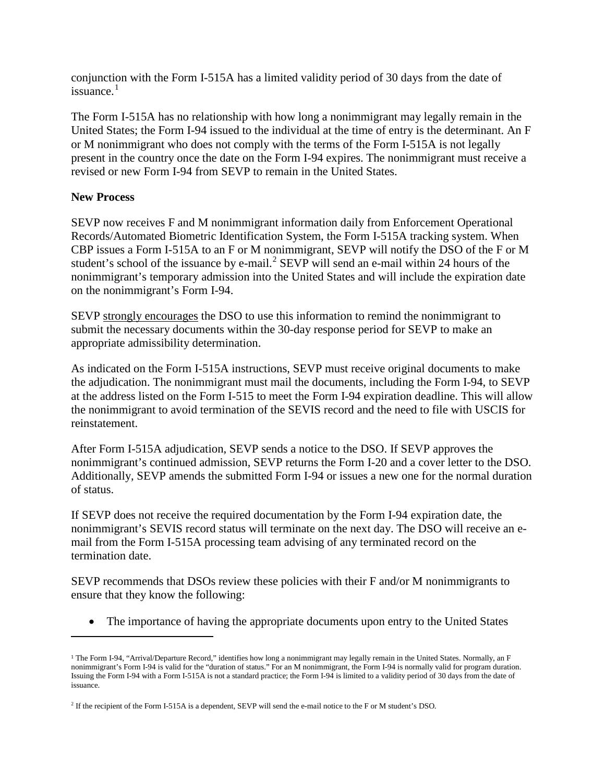conjunction with the Form I-515A has a limited validity period of 30 days from the date of issuance. $1$ 

The Form I-515A has no relationship with how long a nonimmigrant may legally remain in the United States; the Form I-94 issued to the individual at the time of entry is the determinant. An F or M nonimmigrant who does not comply with the terms of the Form I-515A is not legally present in the country once the date on the Form I-94 expires. The nonimmigrant must receive a revised or new Form I-94 from SEVP to remain in the United States.

## **New Process**

j

SEVP now receives F and M nonimmigrant information daily from Enforcement Operational Records/Automated Biometric Identification System, the Form I-515A tracking system. When CBP issues a Form I-515A to an F or M nonimmigrant, SEVP will notify the DSO of the F or M student's school of the issuance by e-mail.<sup>[2](#page-1-1)</sup> SEVP will send an e-mail within 24 hours of the nonimmigrant's temporary admission into the United States and will include the expiration date on the nonimmigrant's Form I-94.

SEVP strongly encourages the DSO to use this information to remind the nonimmigrant to submit the necessary documents within the 30-day response period for SEVP to make an appropriate admissibility determination.

As indicated on the Form I-515A instructions, SEVP must receive original documents to make the adjudication. The nonimmigrant must mail the documents, including the Form I-94, to SEVP at the address listed on the Form I-515 to meet the Form I-94 expiration deadline. This will allow the nonimmigrant to avoid termination of the SEVIS record and the need to file with USCIS for reinstatement.

After Form I-515A adjudication, SEVP sends a notice to the DSO. If SEVP approves the nonimmigrant's continued admission, SEVP returns the Form I-20 and a cover letter to the DSO. Additionally, SEVP amends the submitted Form I-94 or issues a new one for the normal duration of status.

If SEVP does not receive the required documentation by the Form I-94 expiration date, the nonimmigrant's SEVIS record status will terminate on the next day. The DSO will receive an email from the Form I-515A processing team advising of any terminated record on the termination date.

SEVP recommends that DSOs review these policies with their F and/or M nonimmigrants to ensure that they know the following:

• The importance of having the appropriate documents upon entry to the United States

<span id="page-1-0"></span><sup>1</sup> The Form I-94, "Arrival/Departure Record," identifies how long a nonimmigrant may legally remain in the United States. Normally, an F nonimmigrant's Form I-94 is valid for the "duration of status." For an M nonimmigrant, the Form I-94 is normally valid for program duration. Issuing the Form I-94 with a Form I-515A is not a standard practice; the Form I-94 is limited to a validity period of 30 days from the date of issuance.

<span id="page-1-1"></span><sup>&</sup>lt;sup>2</sup> If the recipient of the Form I-515A is a dependent, SEVP will send the e-mail notice to the F or M student's DSO.